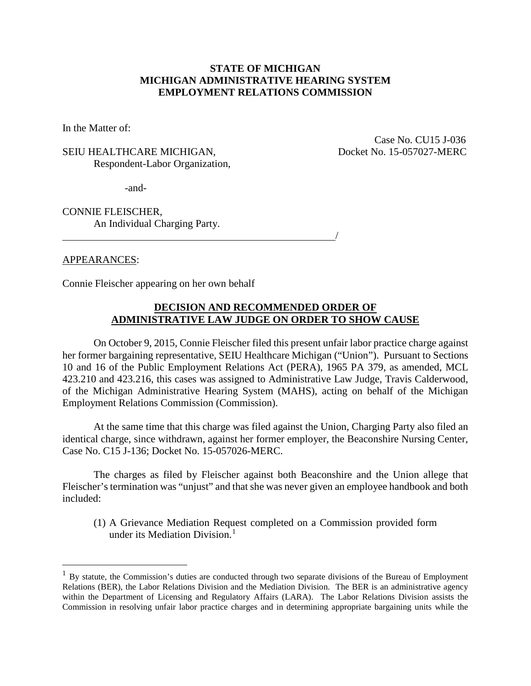# **STATE OF MICHIGAN MICHIGAN ADMINISTRATIVE HEARING SYSTEM EMPLOYMENT RELATIONS COMMISSION**

In the Matter of:

# SEIU HEALTHCARE MICHIGAN, Docket No. 15-057027-MERC Respondent-Labor Organization,

Case No. CU15 J-036

-and-

CONNIE FLEISCHER, An Individual Charging Party.

## APPEARANCES:

Connie Fleischer appearing on her own behalf

<u>/</u>

## **DECISION AND RECOMMENDED ORDER OF ADMINISTRATIVE LAW JUDGE ON ORDER TO SHOW CAUSE**

On October 9, 2015, Connie Fleischer filed this present unfair labor practice charge against her former bargaining representative, SEIU Healthcare Michigan ("Union"). Pursuant to Sections 10 and 16 of the Public Employment Relations Act (PERA), 1965 PA 379, as amended, MCL 423.210 and 423.216, this cases was assigned to Administrative Law Judge, Travis Calderwood, of the Michigan Administrative Hearing System (MAHS), acting on behalf of the Michigan Employment Relations Commission (Commission).

At the same time that this charge was filed against the Union, Charging Party also filed an identical charge, since withdrawn, against her former employer, the Beaconshire Nursing Center, Case No. C15 J-136; Docket No. 15-057026-MERC.

The charges as filed by Fleischer against both Beaconshire and the Union allege that Fleischer's termination was "unjust" and that she was never given an employee handbook and both included:

(1) A Grievance Mediation Request completed on a Commission provided form under its Mediation Division.<sup>[1](#page-0-0)</sup>

<span id="page-0-0"></span><sup>&</sup>lt;sup>1</sup> By statute, the Commission's duties are conducted through two separate divisions of the Bureau of Employment Relations (BER), the Labor Relations Division and the Mediation Division. The BER is an administrative agency within the Department of Licensing and Regulatory Affairs (LARA). The Labor Relations Division assists the Commission in resolving unfair labor practice charges and in determining appropriate bargaining units while the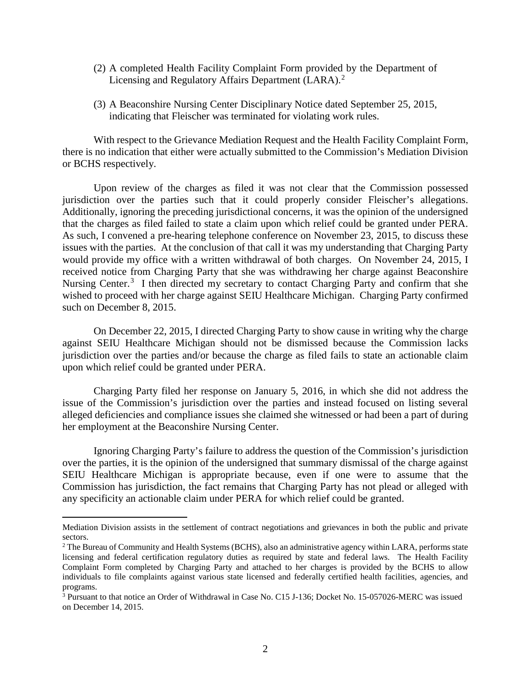- (2) A completed Health Facility Complaint Form provided by the Department of Licensing and Regulatory Affairs Department (LARA).<sup>[2](#page-1-0)</sup>
- (3) A Beaconshire Nursing Center Disciplinary Notice dated September 25, 2015, indicating that Fleischer was terminated for violating work rules.

With respect to the Grievance Mediation Request and the Health Facility Complaint Form, there is no indication that either were actually submitted to the Commission's Mediation Division or BCHS respectively.

Upon review of the charges as filed it was not clear that the Commission possessed jurisdiction over the parties such that it could properly consider Fleischer's allegations. Additionally, ignoring the preceding jurisdictional concerns, it was the opinion of the undersigned that the charges as filed failed to state a claim upon which relief could be granted under PERA. As such, I convened a pre-hearing telephone conference on November 23, 2015, to discuss these issues with the parties. At the conclusion of that call it was my understanding that Charging Party would provide my office with a written withdrawal of both charges. On November 24, 2015, I received notice from Charging Party that she was withdrawing her charge against Beaconshire Nursing Center.<sup>[3](#page-1-1)</sup> I then directed my secretary to contact Charging Party and confirm that she wished to proceed with her charge against SEIU Healthcare Michigan. Charging Party confirmed such on December 8, 2015.

On December 22, 2015, I directed Charging Party to show cause in writing why the charge against SEIU Healthcare Michigan should not be dismissed because the Commission lacks jurisdiction over the parties and/or because the charge as filed fails to state an actionable claim upon which relief could be granted under PERA.

Charging Party filed her response on January 5, 2016, in which she did not address the issue of the Commission's jurisdiction over the parties and instead focused on listing several alleged deficiencies and compliance issues she claimed she witnessed or had been a part of during her employment at the Beaconshire Nursing Center.

Ignoring Charging Party's failure to address the question of the Commission's jurisdiction over the parties, it is the opinion of the undersigned that summary dismissal of the charge against SEIU Healthcare Michigan is appropriate because, even if one were to assume that the Commission has jurisdiction, the fact remains that Charging Party has not plead or alleged with any specificity an actionable claim under PERA for which relief could be granted.

 $\overline{a}$ 

Mediation Division assists in the settlement of contract negotiations and grievances in both the public and private sectors.

<span id="page-1-0"></span><sup>2</sup> The Bureau of Community and Health Systems (BCHS), also an administrative agency within LARA, performs state licensing and federal certification regulatory duties as required by state and federal laws. The Health Facility Complaint Form completed by Charging Party and attached to her charges is provided by the BCHS to allow individuals to file complaints against various state licensed and federally certified health facilities, agencies, and programs.

<span id="page-1-1"></span><sup>3</sup> Pursuant to that notice an Order of Withdrawal in Case No. C15 J-136; Docket No. 15-057026-MERC was issued on December 14, 2015.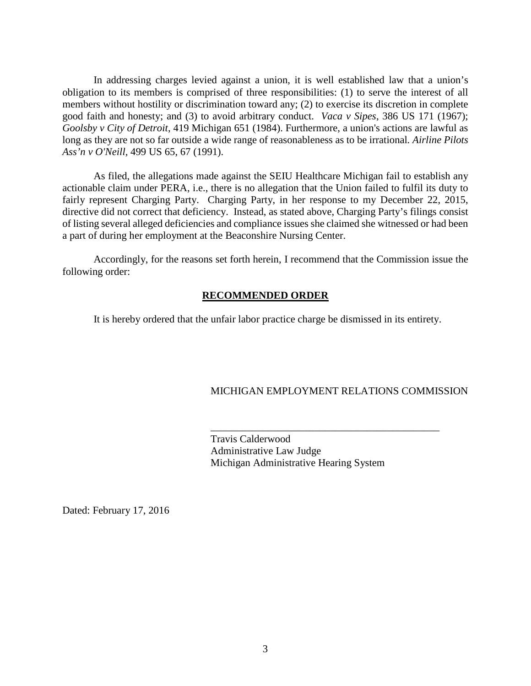In addressing charges levied against a union, it is well established law that a union's obligation to its members is comprised of three responsibilities: (1) to serve the interest of all members without hostility or discrimination toward any; (2) to exercise its discretion in complete good faith and honesty; and (3) to avoid arbitrary conduct. *Vaca v Sipes*, 386 US 171 (1967); *Goolsby v City of Detroit*, 419 Michigan 651 (1984). Furthermore, a union's actions are lawful as long as they are not so far outside a wide range of reasonableness as to be irrational*. Airline Pilots Ass'n v O'Neill,* 499 US 65, 67 (1991).

As filed, the allegations made against the SEIU Healthcare Michigan fail to establish any actionable claim under PERA, i.e., there is no allegation that the Union failed to fulfil its duty to fairly represent Charging Party. Charging Party, in her response to my December 22, 2015, directive did not correct that deficiency. Instead, as stated above, Charging Party's filings consist of listing several alleged deficiencies and compliance issues she claimed she witnessed or had been a part of during her employment at the Beaconshire Nursing Center.

Accordingly, for the reasons set forth herein, I recommend that the Commission issue the following order:

# **RECOMMENDED ORDER**

It is hereby ordered that the unfair labor practice charge be dismissed in its entirety.

# MICHIGAN EMPLOYMENT RELATIONS COMMISSION

\_\_\_\_\_\_\_\_\_\_\_\_\_\_\_\_\_\_\_\_\_\_\_\_\_\_\_\_\_\_\_\_\_\_\_\_\_\_\_\_\_\_\_\_

Travis Calderwood Administrative Law Judge Michigan Administrative Hearing System

Dated: February 17, 2016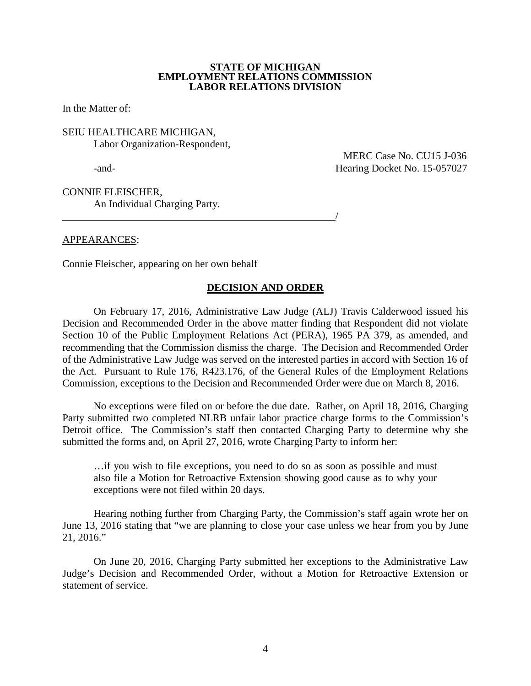#### **STATE OF MICHIGAN EMPLOYMENT RELATIONS COMMISSION LABOR RELATIONS DIVISION**

In the Matter of:

SEIU HEALTHCARE MICHIGAN, Labor Organization-Respondent,

MERC Case No. CU15 J-036 -and-<br>
Hearing Docket No. 15-057027

CONNIE FLEISCHER, An Individual Charging Party.

APPEARANCES:

Connie Fleischer, appearing on her own behalf

<u>/</u>

## **DECISION AND ORDER**

On February 17, 2016, Administrative Law Judge (ALJ) Travis Calderwood issued his Decision and Recommended Order in the above matter finding that Respondent did not violate Section 10 of the Public Employment Relations Act (PERA), 1965 PA 379, as amended, and recommending that the Commission dismiss the charge. The Decision and Recommended Order of the Administrative Law Judge was served on the interested parties in accord with Section 16 of the Act. Pursuant to Rule 176, R423.176, of the General Rules of the Employment Relations Commission, exceptions to the Decision and Recommended Order were due on March 8, 2016.

No exceptions were filed on or before the due date. Rather, on April 18, 2016, Charging Party submitted two completed NLRB unfair labor practice charge forms to the Commission's Detroit office. The Commission's staff then contacted Charging Party to determine why she submitted the forms and, on April 27, 2016, wrote Charging Party to inform her:

…if you wish to file exceptions, you need to do so as soon as possible and must also file a Motion for Retroactive Extension showing good cause as to why your exceptions were not filed within 20 days.

Hearing nothing further from Charging Party, the Commission's staff again wrote her on June 13, 2016 stating that "we are planning to close your case unless we hear from you by June 21, 2016."

On June 20, 2016, Charging Party submitted her exceptions to the Administrative Law Judge's Decision and Recommended Order, without a Motion for Retroactive Extension or statement of service.